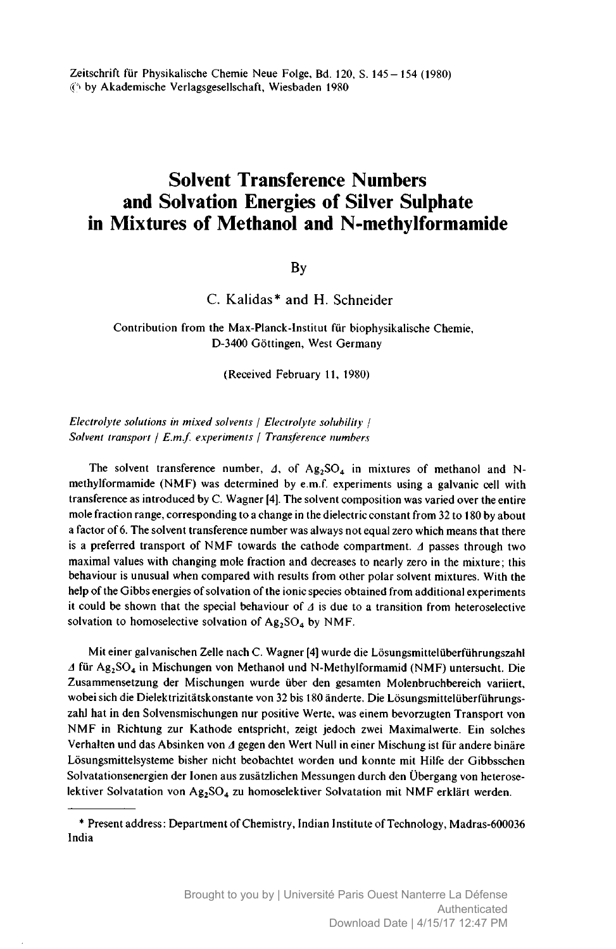Zeitschrift für Physikalische Chemie Neue Folge, Bd. 120, S. 145-154 (1980) © by Akademische Verlagsgesellschaft, Wiesbaden <sup>1980</sup>

# Solvent Transference Numbers and Solvation Energies of Silver Sulphate in Mixtures of Methanol and N-methylformamide

### By

C. Kalidas\* and H. Schneider

Contribution from the Max-Planck-Institut für biophysikalische Chemie, D-3400 Göttingen, West Germany

(Received February 11, 1980)

Electrolyte solutions in mixed solvents / Electrolyte solubility / Solvent transport | E.m.f. experiments | Transference numbers

The solvent transference number,  $\Delta$ , of Ag<sub>2</sub>SO<sub>4</sub> in mixtures of methanol and Nmethylformamide (NMF) was determined by e.m.f. experiments using <sup>a</sup> galvanic cell with transference as introduced by C. Wagner [4]. The solvent composition was varied over the entire mole fraction range, corresponding to <sup>a</sup> change in the dielectric constant from <sup>32</sup> to <sup>180</sup> by about <sup>a</sup> factor of 6. The solvent transference number was always not equal zero which means that there is a preferred transport of NMF towards the cathode compartment.  $\Delta$  passes through two maximal values with changing mole fraction and decreases to nearly zero in the mixture; this behaviour is unusual when compared with results from other polar solvent mixtures. With the help of the Gibbs energies of solvation of the ionic species obtained from additional experiments it could be shown that the special behaviour of  $\Delta$  is due to a transition from heteroselective solvation to homoselective solvation of  $Ag_2SO_4$  by NMF.

Mit einer galvanischen Zelle nach C. Wagner [4] wurde die Lösungsmittelüberführungszahl  $\Delta$  für Ag<sub>2</sub>SO<sub>4</sub> in Mischungen von Methanol und N-Methylformamid (NMF) untersucht. Die Zusammensetzung der Mischungen wurde über den gesamten Molenbruchbereich variiert, wobei sich die Dielektrizitätskonstante von <sup>32</sup> bis <sup>180</sup> änderte. Die Lösungsmittelüberführungszahl hat in den Solvensmischungen nur positive Werte, was einem bevorzugten Transport von NMF in Richtung zur Kathode entspricht, zeigt jedoch zwei Maximalwerte. Ein solches Verhalten und das Absinken von  $\Delta$  gegen den Wert Null in einer Mischung ist für andere binäre Lösungsmittelsysteme bisher nicht beobachtet worden und konnte mit Hilfe der Gibbsschen Solvatationsenergien der Ionen aus zusätzlichen Messungen durch den Übergang von heteroselektiver Solvatation von Ag<sub>2</sub>SO<sub>4</sub> zu homoselektiver Solvatation mit NMF erklärt werden.

<sup>\*</sup> Present address : Department of Chemistry, Indian Institute ofTechnology, Madras-600036 India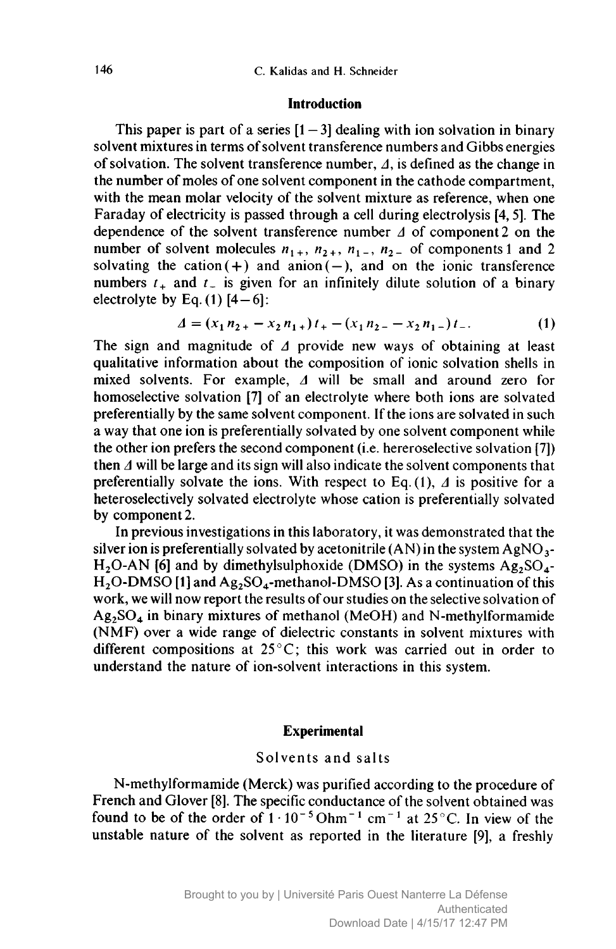#### Introduction

This paper is part of a series  $[1-3]$  dealing with ion solvation in binary solvent mixtures in terms of solvent transference numbers and Gibbs energies of solvation. The solvent transference number,  $\Delta$ , is defined as the change in the number of moles of one solvent component in the cathode compartment, with the mean molar velocity of the solvent mixture as reference, when one Faraday of electricity is passed through <sup>a</sup> cell during electrolysis [4, 5]. The dependence of the solvent transference number  $\Delta$  of component 2 on the number of solvent molecules  $n_{1+}$ ,  $n_{2+}$ ,  $n_{1-}$ ,  $n_{2-}$  of components 1 and 2 solvating the cation  $(+)$  and anion  $(-)$ , and on the ionic transference numbers  $t_+$  and  $t_-$  is given for an infinitely dilute solution of a binary electrolyte by Eq.  $(1)$  [4-6]:

$$
\Delta = (x_1 n_{2+} - x_2 n_{1+}) t_+ - (x_1 n_{2-} - x_2 n_{1-}) t_-.
$$
 (1)

The sign and magnitude of  $\Delta$  provide new ways of obtaining at least qualitative information about the composition of ionic solvation shells in mixed solvents. For example,  $\Delta$  will be small and around zero for homoselective solvation [7] of an electrolyte where both ions are solvated preferentially by the same solvent component. Ifthe ions are solvated in such <sup>a</sup> way that one ion is preferentially solvated by one solvent component while the other ion prefers the second component (i.e. hereroselective solvation [7]) then  $\Delta$  will be large and its sign will also indicate the solvent components that preferentially solvate the ions. With respect to Eq.  $(1)$ ,  $\Delta$  is positive for a heteroselectively solvated electrolyte whose cation is preferentially solvated by component 2.

In previous investigations in this laboratory, it was demonstrated that the silver ion is preferentially solvated by acetonitrile  $(AN)$  in the system AgNO<sub>3</sub>-H<sub>2</sub>O-AN [6] and by dimethylsulphoxide (DMSO) in the systems  $Ag_2SO_4$ - $H<sub>2</sub>O-DMSO [1]$  and  $Ag<sub>2</sub>SO<sub>4</sub>$ -methanol-DMSO [3]. As a continuation of this work, we will now report the results of our studies on the selective solvation of  $Ag<sub>2</sub>SO<sub>4</sub>$  in binary mixtures of methanol (MeOH) and N-methylformamide (NMF) over <sup>a</sup> wide range of dielectric constants in solvent mixtures with different compositions at 25°C; this work was carried out in order to understand the nature of ion-solvent interactions in this system.

### Experimental

### Solvents and salts

N-methylformamide (Merck) was purified according to the procedure of French and Glover [8]. The specific conductance of the solvent obtained was found to be of the order of  $1 \cdot 10^{-5}$  Ohm<sup>-1</sup> cm<sup>-1</sup> at 25<sup>°</sup>C. In view of the unstable nature of the solvent as reported in the literature [9], <sup>a</sup> freshly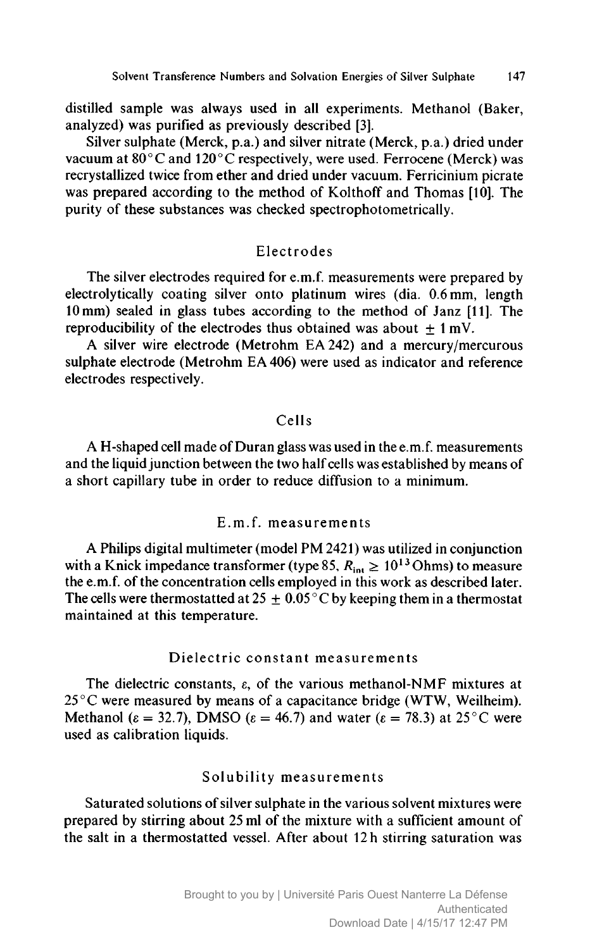distilled sample was always used in all experiments. Methanol (Baker, analyzed) was purified as previously described [3].

Silver sulphate (Merck, p.a.) and silver nitrate (Merck, p.a.) dried under vacuum at  $80^{\circ}$ C and  $120^{\circ}$ C respectively, were used. Ferrocene (Merck) was recrystallized twice from ether and dried under vacuum. Ferricinium picrate was prepared according to the method of Kolthoff and Thomas [10]. The purity of these substances was checked spectrophotometrically.

### Electrodes

The silver electrodes required for e.m.f. measurements were prepared by electrolytically coating silver onto platinum wires (dia. 0.6 mm, length <sup>10</sup> mm) sealed in glass tubes according to the method of Janz [11]. The reproducibility of the electrodes thus obtained was about  $\pm 1$  mV.

A silver wire electrode (Metrohm EA242) and <sup>a</sup> mercury/mercurous sulphate electrode (Metrohm EA 406) were used as indicator and reference electrodes respectively.

### Cells

A H-shaped cell made of Duran glass was used in the e.m.f. measurements and the liquid junction between the two half cells was established by means of <sup>a</sup> short capillary tube in order to reduce diffusion to <sup>a</sup> minimum.

## E.m.f. measurements

A Philips digital multimeter (model PM 2421) was utilized in conjunction with a Knick impedance transformer (type 85,  $R_{\text{int}} \ge 10^{13}$  Ohms) to measure the e.m.f. of the concentration cells employed in this work as described later. The cells were thermostatted at 25  $\pm$  0.05 °C by keeping them in a thermostat maintained at this temperature.

### Dielectric constant measurements

The dielectric constants,  $\varepsilon$ , of the various methanol-NMF mixtures at  $25^{\circ}$ C were measured by means of a capacitance bridge (WTW, Weilheim). Methanol ( $\varepsilon = 32.7$ ), DMSO ( $\varepsilon = 46.7$ ) and water ( $\varepsilon = 78.3$ ) at 25°C were used as calibration liquids.

### Solubility measurements

Saturated solutions of silver sulphate in the various solvent mixtures were prepared by stirring about <sup>25</sup> ml of the mixture with <sup>a</sup> sufficient amount of the salt in <sup>a</sup> thermostatted vessel. After about <sup>12</sup> <sup>h</sup> stirring saturation was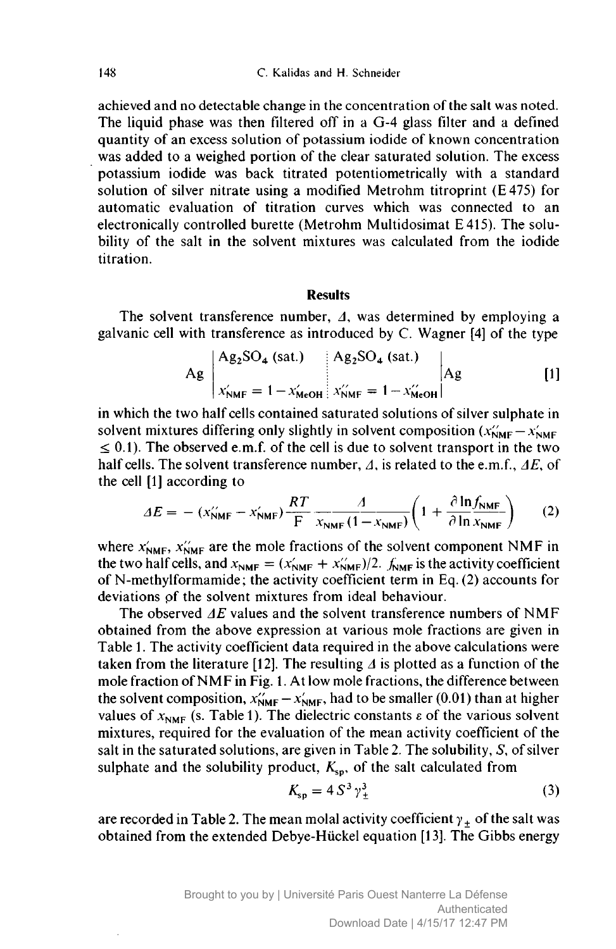achieved and no detectable change in the concentration of the salt was noted. The liquid phase was then filtered off in a G-4 glass filter and a defined quantity of an excess solution of potassium iodide of known concentration was added to <sup>a</sup> weighed portion of the clear saturated solution. The excess potassium iodide was back titrated potentiometrically with <sup>a</sup> standard solution of silver nitrate using <sup>a</sup> modified Metrohm titroprint (E475) for automatic evaluation of titration curves which was connected to an electronically controlled burette (Metrohm Multidosimat <sup>E</sup> 415). The solubility of the salt in the solvent mixtures was calculated from the iodide titration.

#### Results

The solvent transference number,  $\Delta$ , was determined by employing a galvanic cell with transference as introduced by C. Wagner [4] of the type

$$
Ag \begin{array}{|l|l|}\n \hline\n \text{Ag}_2\text{SO}_4 \text{ (sat.)} & \text{Ag}_2\text{SO}_4 \text{ (sat.)} & \\
 \hline\n x_{\text{NMF}}' = 1 - x_{\text{MeOH}}' & x_{\text{NMF}}'' = 1 - x_{\text{MeOH}}'' & \\
 \hline\n \end{array}\n \tag{1}
$$

in which the two half cells contained saturated solutions of silver sulphate in solvent mixtures differing only slightly in solvent composition  $(x_{\text{NMF}}^{\prime} - x_{\text{NMF}}^{\prime})$  $\leq$  0.1). The observed e.m.f. of the cell is due to solvent transport in the two half cells. The solvent transference number,  $\Lambda$ , is related to the e.m.f.,  $\Delta E$ , of the cell [1] according to

[1] according to  
\n
$$
\Delta E = - (x_{\text{NMF}}^{\prime} - x_{\text{NMF}}^{\prime}) \frac{RT}{F} \frac{A}{x_{\text{NMF}} (1 - x_{\text{NMF}})} \left( 1 + \frac{\partial \ln f_{\text{NMF}}}{\partial \ln x_{\text{NMF}}} \right)
$$
 (2)

where  $x'_{NMF}$ ,  $x''_{NMF}$  are the mole fractions of the solvent component NMF in the two half cells, and  $x_{\text{NMF}} = (x'_{\text{NMF}} + x''_{\text{NMF}})/2$ .  $f_{\text{NMF}}$  is the activity coefficient of N-methylformamide; the activity coefficient term in Eq. (2) accounts for deviations of the solvent mixtures from ideal behaviour.

The observed  $\Delta E$  values and the solvent transference numbers of NMF obtained from the above expression at various mole fractions are given in Table 1. The activity coefficient data required in the above calculations were taken from the literature [12]. The resulting  $\Delta$  is plotted as a function of the mole fraction of NMF in Fig. 1. At low mole fractions, the difference between the solvent composition,  $x^{\prime}_{NMF} - x^{\prime}_{NMF}$ , had to be smaller (0.01) than at higher values of  $x_{NMF}$  (s. Table 1). The dielectric constants  $\varepsilon$  of the various solvent mixtures, required for the evaluation of the mean activity coefficient of the salt in the saturated solutions, are given in Table 2. The solubility,  $S$ , of silver sulphate and the solubility product,  $K_{\rm so}$ , of the salt calculated from

$$
K_{\rm sp} = 4 S^3 \gamma_{\pm}^3 \tag{3}
$$

are recorded in Table 2. The mean molal activity coefficient  $\gamma_+$  of the salt was obtained from the extended Debye-Hückel equation [13]. The Gibbs energy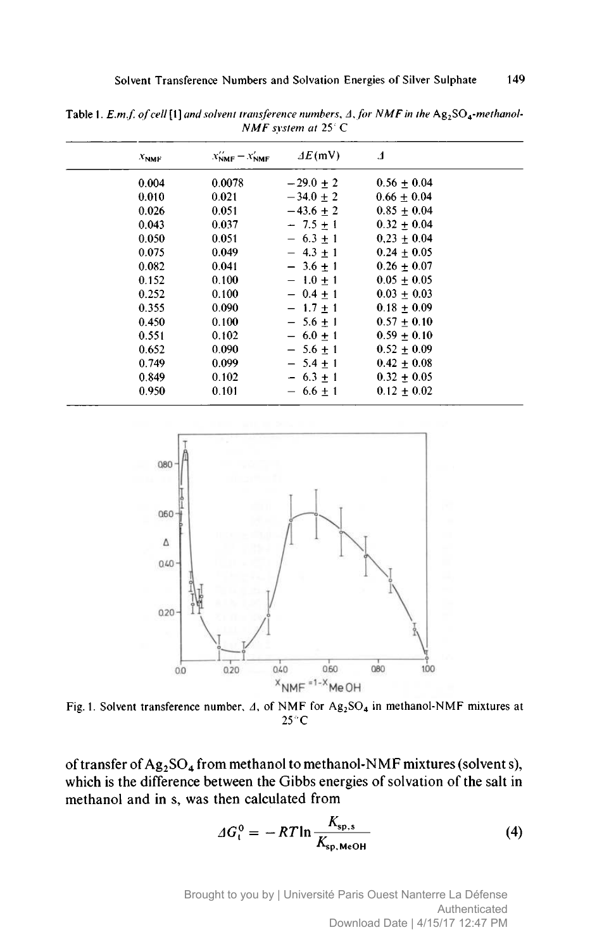| $x_{NMF}$ | $x_{NMF} - x_{NMF}$ | $\Delta E$ (mV) | $\mathbf{1}$    |  |
|-----------|---------------------|-----------------|-----------------|--|
| 0.004     | 0.0078              | $-29.0 + 2$     | $0.56 + 0.04$   |  |
| 0.010     | 0.021               | $-34.0 \pm 2$   | $0.66 \pm 0.04$ |  |
| 0.026     | 0.051               | $-43.6 + 2$     | $0.85 + 0.04$   |  |
| 0.043     | 0.037               | $-7.5 + 1$      | $0.32 + 0.04$   |  |
| 0.050     | 0.051               | $-6.3 + 1$      | $0.23 + 0.04$   |  |
| 0.075     | 0.049               | $-4.3 + 1$      | $0.24 \pm 0.05$ |  |
| 0.082     | 0.041               | $-3.6 + 1$      | $0.26 + 0.07$   |  |
| 0.152     | 0.100               | $-1.0 + 1$      | $0.05 + 0.05$   |  |
| 0.252     | 0.100               | $-0.4 + 1$      | $0.03 + 0.03$   |  |
| 0.355     | 0.090               | $-1.7 + 1$      | $0.18 + 0.09$   |  |
| 0.450     | 0.100               | $-5.6 + 1$      | $0.57 + 0.10$   |  |
| 0.551     | 0.102               | $-6.0 + 1$      | $0.59 \pm 0.10$ |  |
| 0.652     | 0.090               | $-5.6 + 1$      | $0.52 \pm 0.09$ |  |
| 0.749     | 0.099               | $-5.4 + 1$      | $0.42 \pm 0.08$ |  |
| 0.849     | 0.102               | $-6.3 + 1$      | $0.32 + 0.05$   |  |
| 0.950     | 0.101               | $-6.6 + 1$      | $0.12 + 0.02$   |  |

Table 1. E.m.f. of cell [1] and solvent transference numbers,  $\Delta$ , for NMF in the Ag<sub>2</sub>SO<sub>4</sub>-methanol-NMF system at 25°C



Fig. 1. Solvent transference number,  $\Delta$ , of NMF for Ag<sub>2</sub>SO<sub>4</sub> in methanol-NMF mixtures at 25°C

of transfer of  $Ag_2SO_4$  from methanol to methanol-NMF mixtures (solvent s), which is the difference between the Gibbs energies of solvation of the salt in methanol and in s, was then calculated from

$$
\Delta G_t^0 = -RT \ln \frac{K_{\rm sp,s}}{K_{\rm sp, MeOH}} \tag{4}
$$

Brought to you by | Université Paris Ouest Nanterre La Défense Authenticated Download Date | 4/15/17 12:47 PM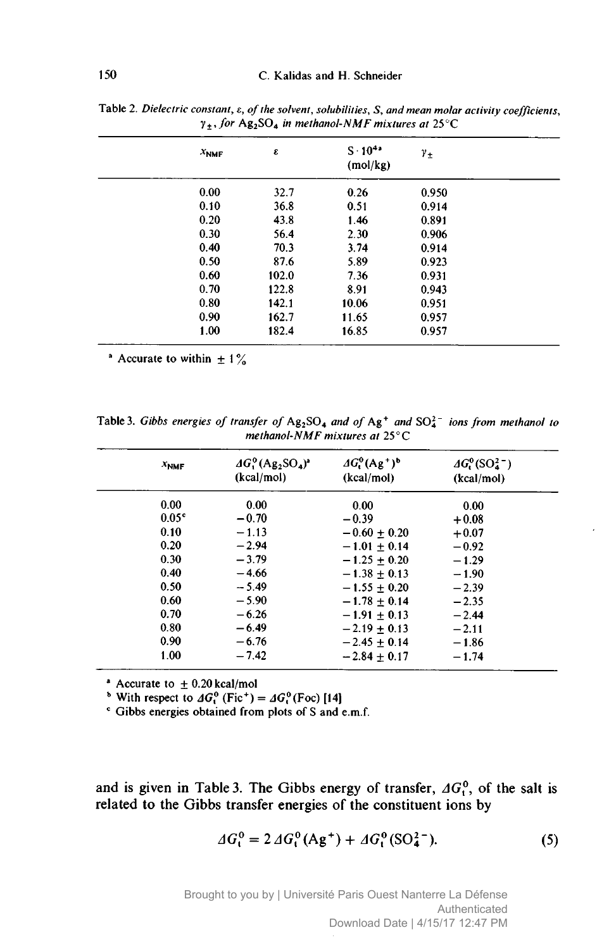| $x_{NMF}$ | ε     | $S \cdot 10^{4a}$<br>(mol/kg) | $\gamma_{\pm}$ |
|-----------|-------|-------------------------------|----------------|
| 0.00      | 32.7  | 0.26                          | 0.950          |
| 0.10      | 36.8  | 0.51                          | 0.914          |
| 0.20      | 43.8  | 1.46                          | 0.891          |
| 0.30      | 56.4  | 2.30                          | 0.906          |
| 0.40      | 70.3  | 3.74                          | 0.914          |
| 0.50      | 87.6  | 5.89                          | 0.923          |
| 0.60      | 102.0 | 7.36                          | 0.931          |
| 0.70      | 122.8 | 8.91                          | 0.943          |
| 0.80      | 142.1 | 10.06                         | 0.951          |
| 0.90      | 162.7 | 11.65                         | 0.957          |
| 1.00      | 182.4 | 16.85                         | 0.957          |

Table 2. Dielectric constant,  $\varepsilon$ , of the solvent, solubilities, S, and mean molar activity coefficients,  $\gamma_+$ , for Ag<sub>2</sub>SO<sub>4</sub> in methanol-NMF mixtures at 25°C

<sup>a</sup> Accurate to within  $\pm 1\%$ 

Table 3. Gibbs energies of transfer of  $Ag_2SO_4$  and of  $Ag^+$  and  $SO_4^{2-}$  ions from methanol to methanol-NMF mixtures at 25°C

| $x_{NMF}$         | $AG0(Ag2SO4)3$<br>(kcal/mol) | $\Delta G^{0} (Ag^{+})^{b}$<br>(kcal/mol) | $AG_1^0(SO_4^{2-})$<br>(kcal/mol) |
|-------------------|------------------------------|-------------------------------------------|-----------------------------------|
| 0.00              | 0.00                         | 0.00                                      | 0.00                              |
| 0.05 <sup>c</sup> | $-0.70$                      | $-0.39$                                   | $+0.08$                           |
| 0.10              | $-1.13$                      | $-0.60 + 0.20$                            | $+0.07$                           |
| 0.20              | $-2.94$                      | $-1.01 + 0.14$                            | $-0.92$                           |
| 0.30              | $-3.79$                      | $-1.25 + 0.20$                            | $-1.29$                           |
| 0.40              | $-4.66$                      | $-1.38 \pm 0.13$                          | $-1.90$                           |
| 0.50              | $-5.49$                      | $-1.55 \pm 0.20$                          | $-2.39$                           |
| 0.60              | $-5.90$                      | $-1.78 + 0.14$                            | $-2.35$                           |
| 0.70              | $-6.26$                      | $-1.91 + 0.13$                            | $-2.44$                           |
| 0.80              | $-6.49$                      | $-2.19 + 0.13$                            | $-2.11$                           |
| 0.90              | $-6.76$                      | $-2.45 + 0.14$                            | $-1.86$                           |
| 1.00              | $-7.42$                      | $-2.84 + 0.17$                            | $-1.74$                           |

 $*$  Accurate to  $\pm$  0.20 kcal/mol

<sup>b</sup> With respect to  $AG_1^0$  (Fic<sup>+</sup>) =  $AG_1^0$  (Foc) [14]<br>
<sup>c</sup> Gibbs energies obtained from plots of S and e.m.f.

and is given in Table 3. The Gibbs energy of transfer,  $AG_t^0$ , of the salt is related to the Gibbs transfer energies of the constituent ions by

$$
\Delta G_t^0 = 2 \Delta G_t^0 (\text{Ag}^+) + \Delta G_t^0 (\text{SO}_4^{2-}). \tag{5}
$$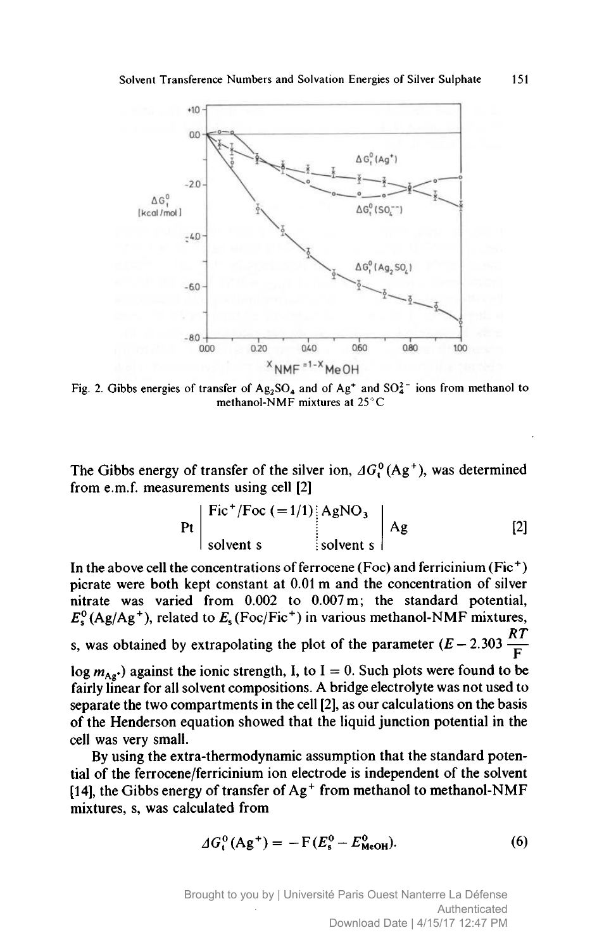

Fig. 2. Gibbs energies of transfer of  $Ag_2SO_4$  and of  $Ag^+$  and  $SO_4^{2-}$  ions from methanol to methanol-NMF mixtures at 25 °C

The Gibbs energy of transfer of the silver ion,  $AG<sup>0</sup>(Ag<sup>+</sup>)$ , was determined from e.m.f. measurements using cell [2]

$$
\Pr\left|\begin{array}{c}\n\text{Fic}^+/\text{Foc} (=1/1) & \text{AgNO}_3 \\
\text{solvent s} & \text{solvent s}\n\end{array}\right|\n\text{Ag}\n\tag{2}
$$

In the above cell the concentrations of ferrocene (Foc) and ferricinium (Fic<sup>+</sup>) picrate were both kept constant at 0.01 <sup>m</sup> and the concentration of silver nitrate was varied from 0.002 to 0.007 m; the standard potential,  $E_s^0$  (Ag/Ag<sup>+</sup>), related to  $E_s$  (Foc/Fic<sup>+</sup>) in various methanol-NMF mixtures, s, was obtained by extrapolating the plot of the parameter  $(E - 2.303 \frac{RT}{F})$  $log m_{Ag}$ ) against the ionic strength, I, to I = 0. Such plots were found to be fairly linear for all solvent compositions. A bridge electrolyte was not used to separate the two compartments in the cell [2], as our calculations on the basis of the Henderson equation showed that the liquid junction potential in the cell was very small.

By using the extra-thermodynamic assumption that the standard potential of the ferrocene/ferricinium ion electrode is independent of the solvent [14], the Gibbs energy of transfer of  $Ag<sup>+</sup>$  from methanol to methanol-NMF mixtures, s, was calculated from

$$
\Delta G_{t}^{0} (Ag^{+}) = -F (E_{s}^{0} - E_{MeOH}^{0}). \tag{6}
$$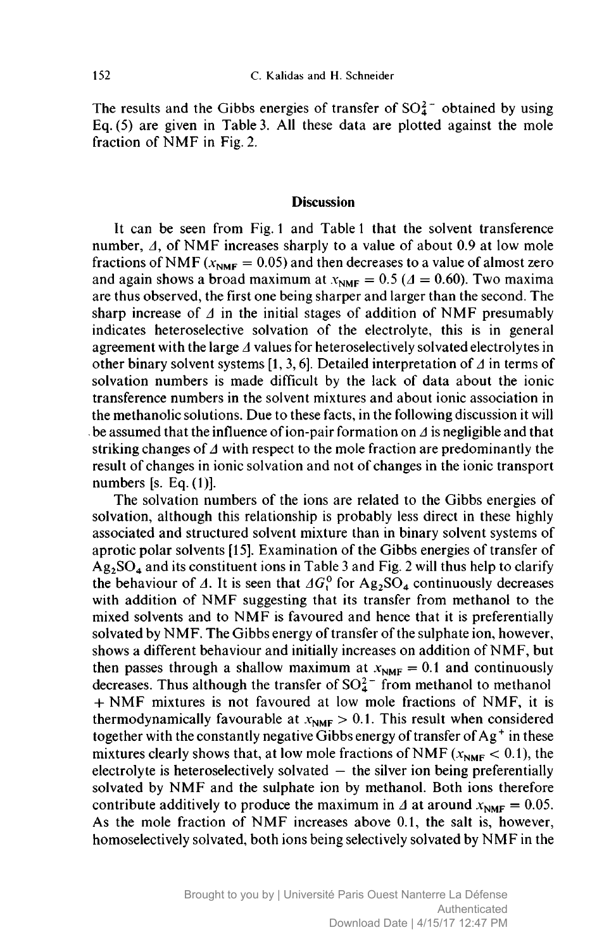The results and the Gibbs energies of transfer of  $SO_4^2$  obtained by using Eq. (5) are given in Table 3. All these data are plotted against the mole fraction of NMF in Fig. 2.

#### **Discussion**

It can be seen from Fig. <sup>1</sup> and Table <sup>1</sup> that the solvent transference number,  $\Delta$ , of NMF increases sharply to a value of about 0.9 at low mole fractions of NMF ( $x_{\text{NMF}} = 0.05$ ) and then decreases to a value of almost zero and again shows a broad maximum at  $x_{NMF} = 0.5$  ( $\Delta = 0.60$ ). Two maxima are thus observed, the first one being sharper and larger than the second. The sharp increase of  $\Delta$  in the initial stages of addition of NMF presumably indicates heteroselective solvation of the electrolyte, this is in general agreement with the large  $\Delta$  values for heteroselectively solvated electrolytes in other binary solvent systems [1, 3, 6]. Detailed interpretation of  $\Delta$  in terms of solvation numbers is made difficult by the lack of data about the ionic transference numbers in the solvent mixtures and about ionic association in the methanolic solutions. Due to these facts, in the following discussion it will be assumed that the influence of ion-pair formation on  $\Delta$  is negligible and that striking changes of  $\Delta$  with respect to the mole fraction are predominantly the result of changes in ionic solvation and not of changes in the ionic transport numbers [s. Eq. (1)].

The solvation numbers of the ions are related to the Gibbs energies of solvation, although this relationship is probably less direct in these highly associated and structured solvent mixture than in binary solvent systems of aprotic polar solvents [15]. Examination of the Gibbs energies of transfer of  $Ag_2SO_4$  and its constituent ions in Table 3 and Fig. 2 will thus help to clarify the behaviour of  $\Delta$ . It is seen that  $\Delta G_1^0$  for Ag<sub>2</sub>SO<sub>4</sub> continuously decreases with addition of NMF suggesting that its transfer from methanol to the mixed solvents and to NMF is favoured and hence that it is preferentially solvated by NMF. The Gibbs energy of transfer of the sulphate ion, however, shows <sup>a</sup> different behaviour and initially increases on addition of NMF, but then passes through a shallow maximum at  $x_{NMF} = 0.1$  and continuously decreases. Thus although the transfer of  $SO_4^{2-}$  from methanol to methanol + NMF mixtures is not favoured at low mole fractions of NMF, it is thermodynamically favourable at  $x_{NMF} > 0.1$ . This result when considered together with the constantly negative Gibbs energy of transfer of  $Ag<sup>+</sup>$  in these mixtures clearly shows that, at low mole fractions of NMF ( $x_{NMF}$  < 0.1), the electrolyte is heteroselectively solvated  $-$  the silver ion being preferentially solvated by NMF and the sulphate ion by methanol. Both ions therefore contribute additively to produce the maximum in  $\Delta$  at around  $x_{\text{NMF}} = 0.05$ . As the mole fraction of NMF increases above 0.1, the salt is, however, homoselectively solvated, both ions being selectively solvated by NMF in the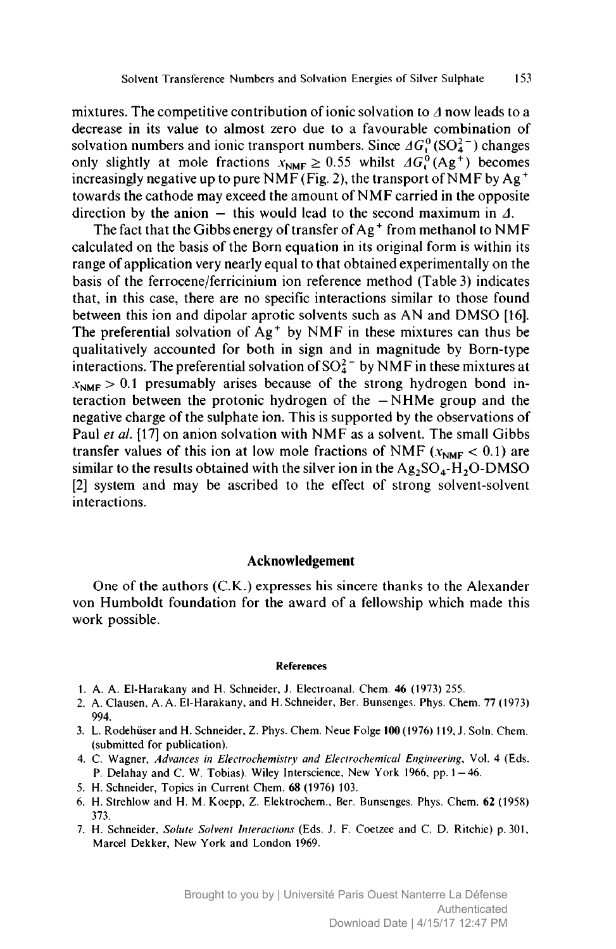mixtures. The competitive contribution of ionic solvation to  $\Delta$  now leads to a decrease in its value to almost zero due to <sup>a</sup> favourable combination of solvation numbers and ionic transport numbers. Since  $AG_1^0(SO_4^{2-})$  changes only slightly at mole fractions  $x_{\text{NMF}} \ge 0.55$  whilst  $\Delta G_1^0(Ag^+)$  becomes increasingly negative up to pure NMF (Fig. 2), the transport of NMF by  $Ag^+$ towards the cathode may exceed the amount of NMF carried in the opposite direction by the anion  $\frac{1}{x}$  this would lead to the second maximum in  $\Lambda$ .

The fact that the Gibbs energy of transfer of Ag<sup>+</sup> from methanol to NMF calculated on the basis of the Born equation in its original form is within its range of application very nearly equal to that obtained experimentally on the basis of the ferrocene/ferricinium ion reference method (Table 3) indicates that, in this case, there are no specific interactions similar to those found between this ion and dipolar aprotic solvents such as AN and DMSO [16]. The preferential solvation of  $Ag<sup>+</sup>$  by NMF in these mixtures can thus be qualitatively accounted for both in sign and in magnitude by Born-type interactions. The preferential solvation of  $SO_4^{2-}$  by NMF in these mixtures at  $x<sub>NME</sub> > 0.1$  presumably arises because of the strong hydrogen bond interaction between the protonic hydrogen of the NHMe group and the — negative charge of the sulphate ion. This is supported by the observations of Paul et al. [17] on anion solvation with NMF as a solvent. The small Gibbs transfer values of this ion at low mole fractions of NMF ( $x_{NMF}$  < 0.1) are similar to the results obtained with the silver ion in the  $Ag_2SO_4-H_2O\text{-}DMSO$ [2] system and may be ascribed to the effect of strong solvent-solvent interactions.

### Acknowledgement

One of the authors (C.K.) expresses his sincere thanks to the Alexander von Humboldt foundation for the award of <sup>a</sup> fellowship which made this work possible.

#### References

- 1. A. A. El-Harakany and H. Schneider, J. Electroanal. Chem. 46 (1973) 255.
- 2. A. Clausen, A. A. El-Harakany, and H.Schneider, Ber. Bunsenges. Phys. Chem. <sup>77</sup> (1973) 994.
- 3. L. RodehüserandH. Schneider, Z. Phys. Chem. Neue Folge 100(1976) 119, J. Soin. Chem. (submitted for publication).
- 4. C. Wagner, Advances in Electrochemistry and Electrochemical Engineering, Vol. <sup>4</sup> (Eds. P. Delahay and C. W. Tobias). Wiley Interscience, New York 1966, pp. 1 - 46.
- 5. H. Schneider, Topics in Current Chem. <sup>68</sup> (1976) 103.
- 6. H. Strehlow and H. M. Koepp, Z. Elektrochem., Ber. Bunsenges. Phys. Chem. <sup>62</sup> (1958) 373.
- 7. H. Schneider, Solute Solvent Interactions (Eds. J. F. Coetzee and C. D. Ritchie) p. 301, Marcel Dekker, New York and London 1969.